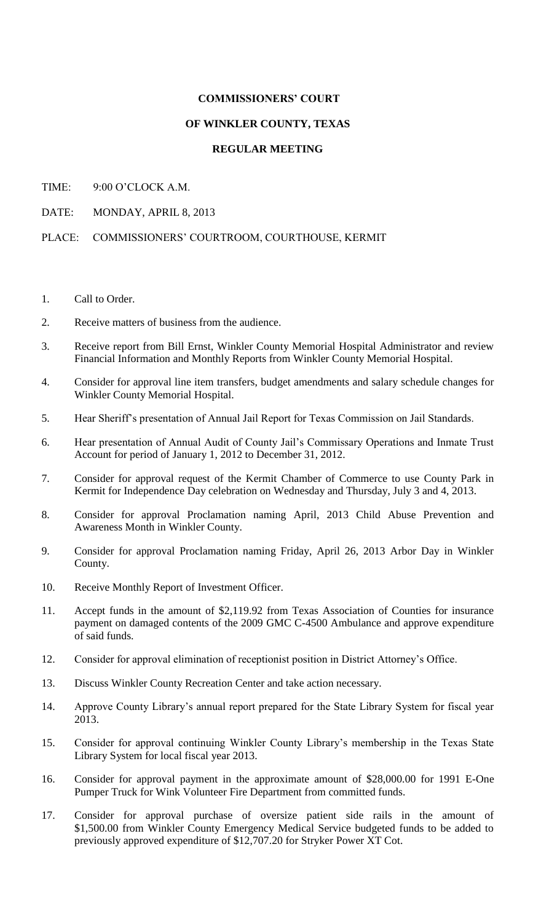## **COMMISSIONERS' COURT**

## **OF WINKLER COUNTY, TEXAS**

## **REGULAR MEETING**

- TIME: 9:00 O'CLOCK A.M.
- DATE: MONDAY, APRIL 8, 2013

PLACE: COMMISSIONERS' COURTROOM, COURTHOUSE, KERMIT

- 1. Call to Order.
- 2. Receive matters of business from the audience.
- 3. Receive report from Bill Ernst, Winkler County Memorial Hospital Administrator and review Financial Information and Monthly Reports from Winkler County Memorial Hospital.
- 4. Consider for approval line item transfers, budget amendments and salary schedule changes for Winkler County Memorial Hospital.
- 5. Hear Sheriff's presentation of Annual Jail Report for Texas Commission on Jail Standards.
- 6. Hear presentation of Annual Audit of County Jail's Commissary Operations and Inmate Trust Account for period of January 1, 2012 to December 31, 2012.
- 7. Consider for approval request of the Kermit Chamber of Commerce to use County Park in Kermit for Independence Day celebration on Wednesday and Thursday, July 3 and 4, 2013.
- 8. Consider for approval Proclamation naming April, 2013 Child Abuse Prevention and Awareness Month in Winkler County.
- 9. Consider for approval Proclamation naming Friday, April 26, 2013 Arbor Day in Winkler County.
- 10. Receive Monthly Report of Investment Officer.
- 11. Accept funds in the amount of \$2,119.92 from Texas Association of Counties for insurance payment on damaged contents of the 2009 GMC C-4500 Ambulance and approve expenditure of said funds.
- 12. Consider for approval elimination of receptionist position in District Attorney's Office.
- 13. Discuss Winkler County Recreation Center and take action necessary.
- 14. Approve County Library's annual report prepared for the State Library System for fiscal year 2013.
- 15. Consider for approval continuing Winkler County Library's membership in the Texas State Library System for local fiscal year 2013.
- 16. Consider for approval payment in the approximate amount of \$28,000.00 for 1991 E-One Pumper Truck for Wink Volunteer Fire Department from committed funds.
- 17. Consider for approval purchase of oversize patient side rails in the amount of \$1,500.00 from Winkler County Emergency Medical Service budgeted funds to be added to previously approved expenditure of \$12,707.20 for Stryker Power XT Cot.